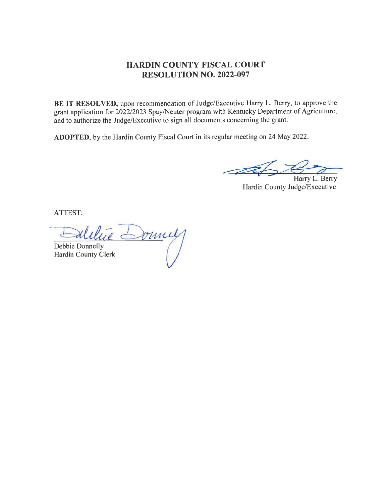### HARDIN COUNTY FISCAL COURT RESOLUTION NO. 2022.097

BE IT RESOLVED, upon recommendation of Judge/Executive Harry L. Berry, to approve the grant application for 2022/2023 Spay/Neuter program with Kentucky Department of Agriculture, and to authorize the Judge/Executive to sign all documents concerning the grant.

ADOPTED, by the Hardin County Fiscal Court in its regular meeting on 24 May 2022.

**CEPS** Harry L. Berry

Hardin County Judge/Executive

ATTEST:

Debbie Donnelly Debbie Donnelly<br>Hardin County Clerk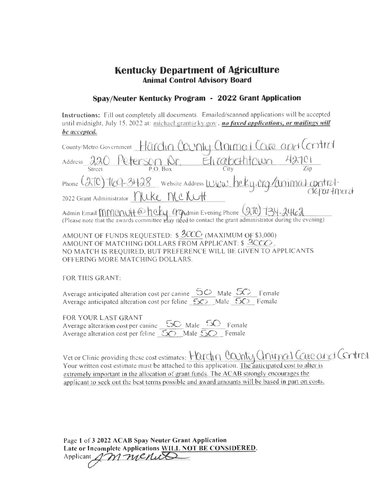## **Kentucky Department of Agriculture Animal Control Advisory Board**

#### Spav/Neuter Kentucky Program - 2022 Grant Application

Instructions: Fill out completely all documents. Emailed/scanned applications will be accepted until midnight, July 15, 2022 at: michael.grant(a ky.gov, no faxed applications, or mailings will be accepted.

|        | County/Metro Government Hardin County animal Care and Control                                                                                                               |                       |  |
|--------|-----------------------------------------------------------------------------------------------------------------------------------------------------------------------------|-----------------------|--|
| Street | Address 220 Peterson Dr.<br>P.O. Box                                                                                                                                        | Elitabethtown<br>City |  |
|        | Phone (270) 769-3428 website Address WWW. heky.org/animal.control-                                                                                                          |                       |  |
|        | 2022 Grant Administrator neke MCKUH                                                                                                                                         |                       |  |
|        | Admin Email MMUNH @ hcky. CrgAdmin Evening Phone (270) 734-2462<br>(Please note that the awards committee may need to contact the grant administrator during the evening)   |                       |  |
|        | AMOUNT OF FUNDS REQUESTED: $$ \frac{3CCC}{100}$ (MAXIMUM OF \$3,000)<br>$\alpha$ and $\alpha$ and $\alpha$ and $\alpha$ and $\alpha$ and $\alpha$ and $\alpha$ and $\alpha$ |                       |  |

 $\sim$ 

AMOUNT OF MATCHING DOLLARS FROM APPLICANT: \$ 3000. NO MATCH IS REQUIRED, BUT PREFERENCE WILL BE GIVEN TO APPLICANTS OFFERING MORE MATCHING DOLLARS.

**FOR THIS GRANT:** 

Average anticipated alteration cost per canine  $50$  Male  $50$  Female Average anticipated alteration cost per feline  $\overline{50}$  Male  $\overline{50}$  Female

FOR YOUR LAST GRANT Average alteration cost per canine  $\frac{50}{50}$  Male  $\frac{50}{50}$  Female

Vet or Clinic providing these cost estimates: Hardin Canty Gnimal Cave and Control Your written cost estimate must be attached to this application. The anticipated cost to alter is extremely important in the allocation of grant funds. The ACAB strongly encourages the applicant to seek out the best terms possible and award amounts will be based in part on costs.

Page 1 of 3 2022 ACAB Spay Neuter Grant Application Late or Incomplete Applications WILL NOT BE CONSIDERED. Applicant AM menut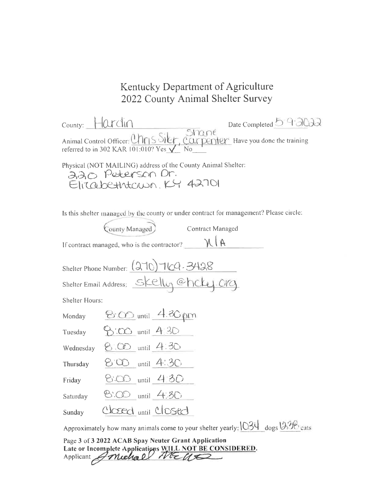# Kentucky Department of Agriculture 2022 County Animal Shelter Survey

| $Country: 1 Qrdin$                                                                                                                                   | Date Completed 5 9 2012 |
|------------------------------------------------------------------------------------------------------------------------------------------------------|-------------------------|
| bare Completed <u>Control</u><br>Animal Control Officer: Unris Siler, Carpenter Have you done the training<br>Perred to in 302 KAR 101:010? Yes V No |                         |

Physical (NOT MAILING) address of the County Animal Shelter: aao Peterson Dr.<br>Elitabethtown, KY 42701

Is this shelter managed by the county or under contract for management? Please circle:

| County Managed) | Contract Managed |  |
|-----------------|------------------|--|
|                 |                  |  |

| If contract managed, who is the contractor? | M/A |
|---------------------------------------------|-----|
|                                             |     |

| Shelter Phone Number: (270) 764-3428     |  |
|------------------------------------------|--|
| Shelter Email Address: Skelly Chcky. CVG |  |

Shelter Hours:

| Monday    | $800$ until $4.30 \mu m$ |  |
|-----------|--------------------------|--|
| Tuesday   | $9:00$ until $4.30$      |  |
| Wednesday | $8.00$ until $4.30$      |  |
| Thursday  | $8°00$ until $4:30°$     |  |
| Friday    | $8.00$ until 4.30        |  |
| Saturday  | $8:00$ until $4:30$      |  |
| Sunday    | Closed until Closed      |  |

Approximately how many animals come to your shelter yearly: 034 dogs 036 cats

Page 3 of 3 2022 ACAB Spay Neuter Grant Application Late or Incomplete Applications WILL NOT BE CONSIDERED.<br>Applicant *Amelia D MEU*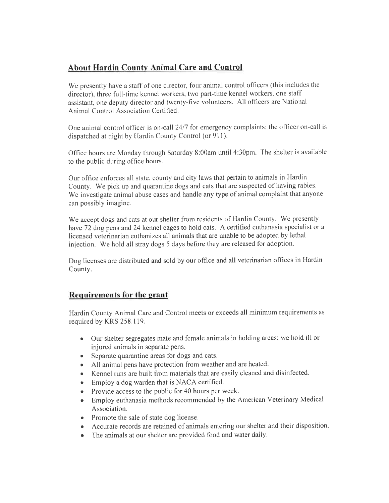# About Hardin County Animal Care and Control

We presently have a staff of one director, four animal control officers (this includes the director), three full-time kennel workers, two part-time kennel workers. one staff assistant. one deputy director and twenty-five volunteers. AII officers are National Animal Control Association Certified.

One animal control officer is on-call 24/7 for emergency complaints; the officer on-call is dispatched at night by Hardin County Control (or 911).

Office hours are Monday through Saturday 8:00am until  $4:30 \text{pm}$ . The shelter is available to the public during office hours.

Our office enforces all state, county and city laws that pertain to animals in Hardin County. We pick up and quarantine dogs and cats that are suspected of having rabies. We investigate animal abuse cases and handle any type of animal complaint that anyone can possibly imagine.

We accept dogs and cats at our shelter from residents of Hardin County. We presently have 72 dog pens and 24 kennel cages to hold cats. A certified euthanasia specialist or a licensed veterinarian euthanizes all animals that are unable to be adopted by lethal injection. We hold all stray dogs 5 days before they are released for adoption.

Dog licenses are distributed and sold by our office and all veterinarian offices in Hardin County.

### Requirements for the qrant

Hardin County Animal Care and Control meets or exceeds all minimum requirements as required by KRS 258.119.

- Our shelter segregates male and female animals in holding areas; we hold ill or injured animals in separate pens.
- Separate quarantine areas for dogs and cats.
- All animal pens have protection from weather and are heated.
- o Kennel runs are built frorn materials that are easily cleaned and disinfected.
- o Employ a dog warden that is NACA certified.
- Provide access to the public for 40 hours per week.
- o Employ euthanasia methods recommended by the American Veterinary Medical Association.
- Promote the sale of state dog license.
- Accurate records are retained of animals entering our shelter and their disposition.
- The animals at our shelter are provided food and water daily.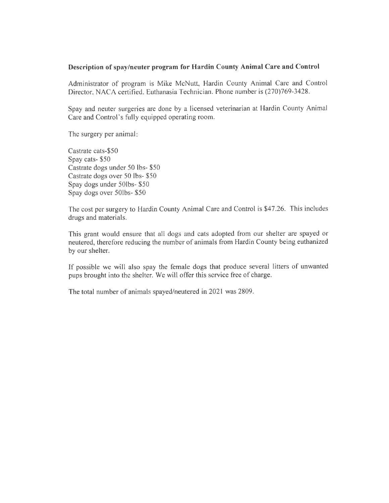#### Description of spay/neuter program for Hardin County Animal Care and Control

Administrator of program is Mike McNutt, Hardin County Animal Care and Control Director, NACA certified. Euthanasia Technician. Phone number is (270)769-3428.

Spay and neuter surgeries are done by a licensed veterinarian at Hardin County Animal Care and Control's fully equipped operating room.

The surgery per animal

Castrate cats-\$50 Spay cats- \$50 Castrate dogs under 50 lbs- \$50 Castrate dogs over 50 lbs- \$50 Spay dogs under 50lbs- \$50 Spay dogs over 50lbs- \$50

The cost per surgery to Hardin County Animal Care and Control is \$47.26. This includes drugs and materials.

This grant would ensure that all dogs and cats adopted from our shelter are spayed or neutered, therefore reducing the number of animals from Flardin County being euthanized by our shelter.

If possible we will also spay the female dogs that produce several litters of unwanted pups brought into the shelter. We willoffer this service free of charge.

The total number of animals spayed/neutered in 2021 was 2809.